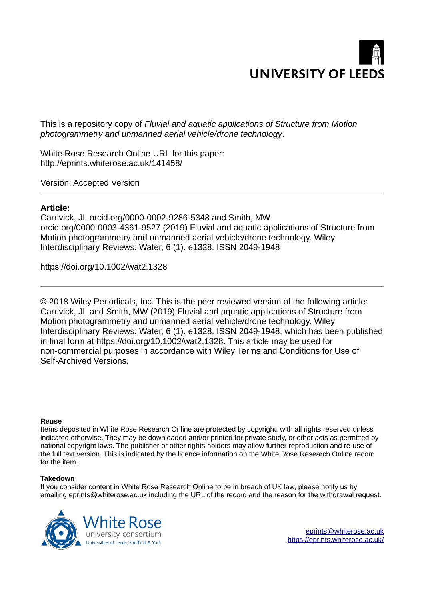

This is a repository copy of *Fluvial and aquatic applications of Structure from Motion photogrammetry and unmanned aerial vehicle/drone technology*.

White Rose Research Online URL for this paper: http://eprints.whiterose.ac.uk/141458/

Version: Accepted Version

# **Article:**

Carrivick, JL orcid.org/0000-0002-9286-5348 and Smith, MW orcid.org/0000-0003-4361-9527 (2019) Fluvial and aquatic applications of Structure from Motion photogrammetry and unmanned aerial vehicle/drone technology. Wiley Interdisciplinary Reviews: Water, 6 (1). e1328. ISSN 2049-1948

https://doi.org/10.1002/wat2.1328

© 2018 Wiley Periodicals, Inc. This is the peer reviewed version of the following article: Carrivick, JL and Smith, MW (2019) Fluvial and aquatic applications of Structure from Motion photogrammetry and unmanned aerial vehicle/drone technology. Wiley Interdisciplinary Reviews: Water, 6 (1). e1328. ISSN 2049-1948, which has been published in final form at https://doi.org/10.1002/wat2.1328. This article may be used for non-commercial purposes in accordance with Wiley Terms and Conditions for Use of Self-Archived Versions.

#### **Reuse**

Items deposited in White Rose Research Online are protected by copyright, with all rights reserved unless indicated otherwise. They may be downloaded and/or printed for private study, or other acts as permitted by national copyright laws. The publisher or other rights holders may allow further reproduction and re-use of the full text version. This is indicated by the licence information on the White Rose Research Online record for the item.

#### **Takedown**

If you consider content in White Rose Research Online to be in breach of UK law, please notify us by emailing eprints@whiterose.ac.uk including the URL of the record and the reason for the withdrawal request.

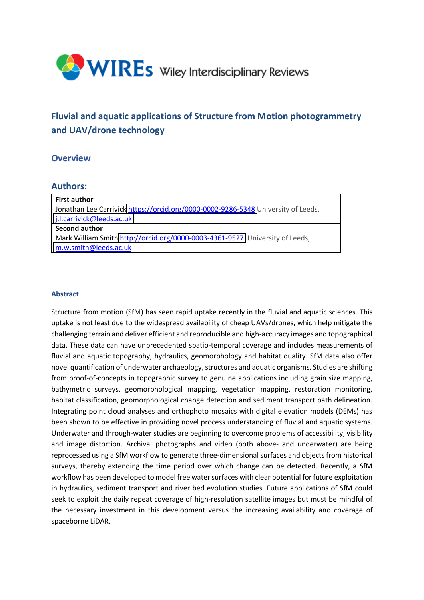

# **Fluvial and aquatic applications of Structure from Motion photogrammetry and UAV/drone technology**

# **Overview**

# **Authors:**

| <b>First author</b>                                                               |
|-----------------------------------------------------------------------------------|
| Jonathan Lee Carrivick https://orcid.org/0000-0002-9286-5348 University of Leeds, |
| j.l.carrivick@leeds.ac.uk                                                         |
| Second author                                                                     |
| Mark William Smith http://orcid.org/0000-0003-4361-9527 University of Leeds,      |
| m.w.smith@leeds.ac.uk                                                             |

## **Abstract**

Structure from motion (SfM) has seen rapid uptake recently in the fluvial and aquatic sciences. This uptake is not least due to the widespread availability of cheap UAVs/drones, which help mitigate the challenging terrain and deliver efficient and reproducible and high-accuracy images and topographical data. These data can have unprecedented spatio-temporal coverage and includes measurements of fluvial and aquatic topography, hydraulics, geomorphology and habitat quality. SfM data also offer novel quantification of underwater archaeology, structures and aquatic organisms. Studies are shifting from proof-of-concepts in topographic survey to genuine applications including grain size mapping, bathymetric surveys, geomorphological mapping, vegetation mapping, restoration monitoring, habitat classification, geomorphological change detection and sediment transport path delineation. Integrating point cloud analyses and orthophoto mosaics with digital elevation models (DEMs) has been shown to be effective in providing novel process understanding of fluvial and aquatic systems. Underwater and through-water studies are beginning to overcome problems of accessibility, visibility and image distortion. Archival photographs and video (both above- and underwater) are being reprocessed using a SfM workflow to generate three-dimensional surfaces and objects from historical surveys, thereby extending the time period over which change can be detected. Recently, a SfM workflow has been developed to model free water surfaces with clear potential for future exploitation in hydraulics, sediment transport and river bed evolution studies. Future applications of SfM could seek to exploit the daily repeat coverage of high-resolution satellite images but must be mindful of the necessary investment in this development versus the increasing availability and coverage of spaceborne LiDAR.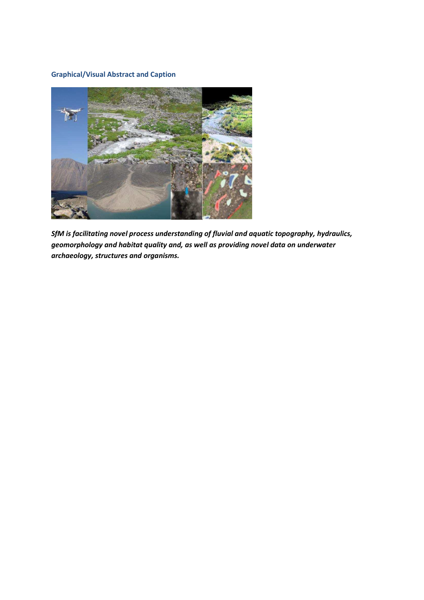# **Graphical/Visual Abstract and Caption**



*SfM is facilitating novel process understanding of fluvial and aquatic topography, hydraulics, geomorphology and habitat quality and, as well as providing novel data on underwater archaeology, structures and organisms.*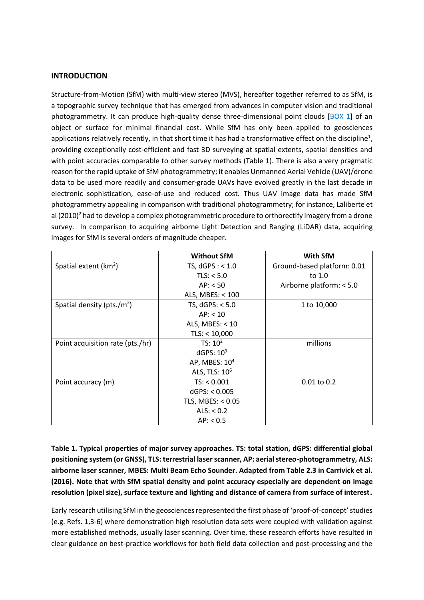# **INTRODUCTION**

Structure-from-Motion (SfM) with multi-view stereo (MVS), hereafter together referred to as SfM, is a topographic survey technique that has emerged from advances in computer vision and traditional photogrammetry. It can produce high-quality dense three-dimensional point clouds [BOX 1] of an object or surface for minimal financial cost. While SfM has only been applied to geosciences applications relatively recently, in that short time it has had a transformative effect on the discipline<sup>1</sup>, providing exceptionally cost-efficient and fast 3D surveying at spatial extents, spatial densities and with point accuracies comparable to other survey methods (Table 1). There is also a very pragmatic reason for the rapid uptake of SfM photogrammetry; it enables Unmanned Aerial Vehicle (UAV)/drone data to be used more readily and consumer-grade UAVs have evolved greatly in the last decade in electronic sophistication, ease-of-use and reduced cost. Thus UAV image data has made SfM photogrammetry appealing in comparison with traditional photogrammetry; for instance, Laliberte et al (2010)<sup>2</sup> had to develop a complex photogrammetric procedure to orthorectify imagery from a drone survey. In comparison to acquiring airborne Light Detection and Ranging (LiDAR) data, acquiring images for SfM is several orders of magnitude cheaper.

|                                   | <b>Without SfM</b>        | <b>With SfM</b>             |
|-----------------------------------|---------------------------|-----------------------------|
| Spatial extent (km <sup>2</sup> ) | TS, $dGPS: < 1.0$         | Ground-based platform: 0.01 |
|                                   | TLS: < 5.0                | to $1.0$                    |
|                                   | AP: < 50                  | Airborne platform: < 5.0    |
|                                   | ALS, MBES: < 100          |                             |
| Spatial density (pts./ $m2$ )     | TS, $dGPS: < 5.0$         | 1 to 10,000                 |
|                                   | AP: < 10                  |                             |
|                                   | ALS, MBES: $<$ 10         |                             |
|                                   | TLS: < 10,000             |                             |
| Point acquisition rate (pts./hr)  | TS: 10 <sup>2</sup>       | millions                    |
|                                   | $d$ GPS: $103$            |                             |
|                                   | AP, MBES: $104$           |                             |
|                                   | ALS, TLS: 10 <sup>6</sup> |                             |
| Point accuracy (m)                | TS: < 0.001               | $0.01$ to $0.2$             |
|                                   | dGPS: < 0.005             |                             |
|                                   | TLS, MBES: $< 0.05$       |                             |
|                                   | ALS: $< 0.2$              |                             |
|                                   | AP: < 0.5                 |                             |

**Table 1. Typical properties of major survey approaches. TS: total station, dGPS: differential global positioning system (or GNSS), TLS: terrestrial laser scanner, AP: aerial stereo-photogrammetry, ALS: airborne laser scanner, MBES: Multi Beam Echo Sounder. Adapted from Table 2.3 in Carrivick et al. (2016). Note that with SfM spatial density and point accuracy especially are dependent on image resolution (pixel size), surface texture and lighting and distance of camera from surface of interest.**

Early research utilising SfM in the geosciences represented the first phase of 'proof-of-concept' studies (e.g. Refs. 1,3-6) where demonstration high resolution data sets were coupled with validation against more established methods, usually laser scanning. Over time, these research efforts have resulted in clear guidance on best-practice workflows for both field data collection and post-processing and the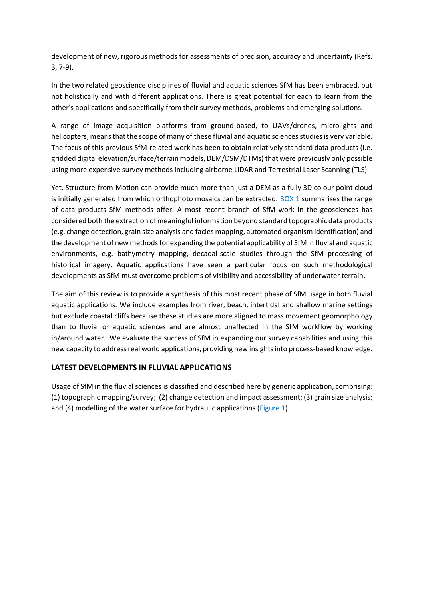development of new, rigorous methods for assessments of precision, accuracy and uncertainty (Refs. 3, 7-9).

In the two related geoscience disciplines of fluvial and aquatic sciences SfM has been embraced, but not holistically and with different applications. There is great potential for each to learn from the other's applications and specifically from their survey methods, problems and emerging solutions.

A range of image acquisition platforms from ground-based, to UAVs/drones, microlights and helicopters, means that the scope of many of these fluvial and aquatic sciences studies is very variable. The focus of this previous SfM-related work has been to obtain relatively standard data products (i.e. gridded digital elevation/surface/terrain models, DEM/DSM/DTMs) that were previously only possible using more expensive survey methods including airborne LiDAR and Terrestrial Laser Scanning (TLS).

Yet, Structure-from-Motion can provide much more than just a DEM as a fully 3D colour point cloud is initially generated from which orthophoto mosaics can be extracted. BOX 1 summarises the range of data products SfM methods offer. A most recent branch of SfM work in the geosciences has considered both the extraction of meaningful information beyond standard topographic data products (e.g. change detection, grain size analysis and facies mapping, automated organism identification) and the development of new methods for expanding the potential applicability of SfM in fluvial and aquatic environments, e.g. bathymetry mapping, decadal-scale studies through the SfM processing of historical imagery. Aquatic applications have seen a particular focus on such methodological developments as SfM must overcome problems of visibility and accessibility of underwater terrain.

The aim of this review is to provide a synthesis of this most recent phase of SfM usage in both fluvial aquatic applications. We include examples from river, beach, intertidal and shallow marine settings but exclude coastal cliffs because these studies are more aligned to mass movement geomorphology than to fluvial or aquatic sciences and are almost unaffected in the SfM workflow by working in/around water. We evaluate the success of SfM in expanding our survey capabilities and using this new capacity to address real world applications, providing new insights into process-based knowledge.

# **LATEST DEVELOPMENTS IN FLUVIAL APPLICATIONS**

Usage of SfM in the fluvial sciences is classified and described here by generic application, comprising: (1) topographic mapping/survey; (2) change detection and impact assessment; (3) grain size analysis; and (4) modelling of the water surface for hydraulic applications (Figure 1).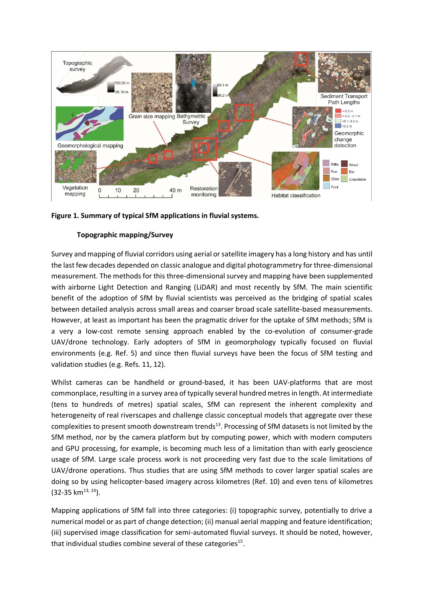



# **Topographic mapping/Survey**

Survey and mapping of fluvial corridors using aerial or satellite imagery has a long history and has until the last few decades depended on classic analogue and digital photogrammetry for three-dimensional measurement. The methods for this three-dimensional survey and mapping have been supplemented with airborne Light Detection and Ranging (LiDAR) and most recently by SfM. The main scientific benefit of the adoption of SfM by fluvial scientists was perceived as the bridging of spatial scales between detailed analysis across small areas and coarser broad scale satellite-based measurements. However, at least as important has been the pragmatic driver for the uptake of SfM methods; SfM is a very a low-cost remote sensing approach enabled by the co-evolution of consumer-grade UAV/drone technology. Early adopters of SfM in geomorphology typically focused on fluvial environments (e.g. Ref. 5) and since then fluvial surveys have been the focus of SfM testing and validation studies (e.g. Refs. 11, 12).

Whilst cameras can be handheld or ground-based, it has been UAV-platforms that are most commonplace, resulting in a survey area of typically several hundred metres in length. At intermediate (tens to hundreds of metres) spatial scales, SfM can represent the inherent complexity and heterogeneity of real riverscapes and challenge classic conceptual models that aggregate over these complexities to present smooth downstream trends<sup>13</sup>. Processing of SfM datasets is not limited by the SfM method, nor by the camera platform but by computing power, which with modern computers and GPU processing, for example, is becoming much less of a limitation than with early geoscience usage of SfM. Large scale process work is not proceeding very fast due to the scale limitations of UAV/drone operations. Thus studies that are using SfM methods to cover larger spatial scales are doing so by using helicopter-based imagery across kilometres (Ref. 10) and even tens of kilometres  $(32-35)$  km<sup>13, 14</sup>).

Mapping applications of SfM fall into three categories: (i) topographic survey, potentially to drive a numerical model or as part of change detection; (ii) manual aerial mapping and feature identification; (iii) supervised image classification for semi-automated fluvial surveys. It should be noted, however, that individual studies combine several of these categories<sup>15</sup>.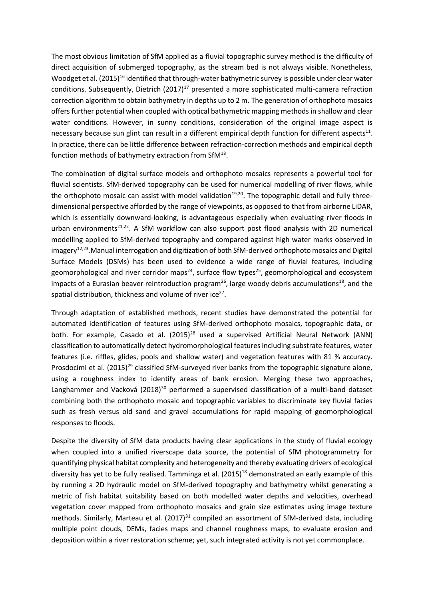The most obvious limitation of SfM applied as a fluvial topographic survey method is the difficulty of direct acquisition of submerged topography, as the stream bed is not always visible. Nonetheless, Woodget et al. (2015)<sup>16</sup> identified that through-water bathymetric survey is possible under clear water conditions. Subsequently, Dietrich  $(2017)^{17}$  presented a more sophisticated multi-camera refraction correction algorithm to obtain bathymetry in depths up to 2 m. The generation of orthophoto mosaics offers further potential when coupled with optical bathymetric mapping methods in shallow and clear water conditions. However, in sunny conditions, consideration of the original image aspect is necessary because sun glint can result in a different empirical depth function for different aspects<sup>11</sup>. In practice, there can be little difference between refraction-correction methods and empirical depth function methods of bathymetry extraction from  $SfM^{18}$ .

The combination of digital surface models and orthophoto mosaics represents a powerful tool for fluvial scientists. SfM-derived topography can be used for numerical modelling of river flows, while the orthophoto mosaic can assist with model validation<sup>19,20</sup>. The topographic detail and fully threedimensional perspective afforded by the range of viewpoints, as opposed to that from airborne LiDAR, which is essentially downward-looking, is advantageous especially when evaluating river floods in urban environments<sup>21,22</sup>. A SfM workflow can also support post flood analysis with 2D numerical modelling applied to SfM-derived topography and compared against high water marks observed in imagery<sup>12,23</sup>. Manual interrogation and digitization of both SfM-derived orthophoto mosaics and Digital Surface Models (DSMs) has been used to evidence a wide range of fluvial features, including geomorphological and river corridor maps<sup>24</sup>, surface flow types<sup>25</sup>, geomorphological and ecosystem impacts of a Eurasian beaver reintroduction program<sup>26</sup>, large woody debris accumulations<sup>18</sup>, and the spatial distribution, thickness and volume of river ice $27$ .

Through adaptation of established methods, recent studies have demonstrated the potential for automated identification of features using SfM-derived orthophoto mosaics, topographic data, or both. For example, Casado et al.  $(2015)^{28}$  used a supervised Artificial Neural Network (ANN) classification to automatically detect hydromorphological features including substrate features, water features (i.e. riffles, glides, pools and shallow water) and vegetation features with 81 % accuracy. Prosdocimi et al.  $(2015)^{29}$  classified SfM-surveyed river banks from the topographic signature alone, using a roughness index to identify areas of bank erosion. Merging these two approaches, Langhammer and Vacková (2018)<sup>30</sup> performed a supervised classification of a multi-band dataset combining both the orthophoto mosaic and topographic variables to discriminate key fluvial facies such as fresh versus old sand and gravel accumulations for rapid mapping of geomorphological responses to floods.

Despite the diversity of SfM data products having clear applications in the study of fluvial ecology when coupled into a unified riverscape data source, the potential of SfM photogrammetry for quantifying physical habitat complexity and heterogeneity and thereby evaluating drivers of ecological diversity has yet to be fully realised. Tamminga et al. (2015)<sup>18</sup> demonstrated an early example of this by running a 2D hydraulic model on SfM-derived topography and bathymetry whilst generating a metric of fish habitat suitability based on both modelled water depths and velocities, overhead vegetation cover mapped from orthophoto mosaics and grain size estimates using image texture methods. Similarly, Marteau et al.  $(2017)^{31}$  compiled an assortment of SfM-derived data, including multiple point clouds, DEMs, facies maps and channel roughness maps, to evaluate erosion and deposition within a river restoration scheme; yet, such integrated activity is not yet commonplace.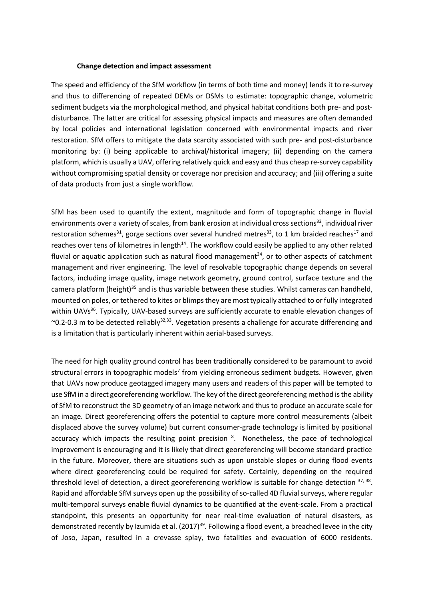#### **Change detection and impact assessment**

The speed and efficiency of the SfM workflow (in terms of both time and money) lends it to re-survey and thus to differencing of repeated DEMs or DSMs to estimate: topographic change, volumetric sediment budgets via the morphological method, and physical habitat conditions both pre- and postdisturbance. The latter are critical for assessing physical impacts and measures are often demanded by local policies and international legislation concerned with environmental impacts and river restoration. SfM offers to mitigate the data scarcity associated with such pre- and post-disturbance monitoring by: (i) being applicable to archival/historical imagery; (ii) depending on the camera platform, which is usually a UAV, offering relatively quick and easy and thus cheap re-survey capability without compromising spatial density or coverage nor precision and accuracy; and (iii) offering a suite of data products from just a single workflow.

SfM has been used to quantify the extent, magnitude and form of topographic change in fluvial environments over a variety of scales, from bank erosion at individual cross sections<sup>32</sup>, individual river restoration schemes<sup>31</sup>, gorge sections over several hundred metres<sup>33</sup>, to 1 km braided reaches<sup>17</sup> and reaches over tens of kilometres in length<sup>14</sup>. The workflow could easily be applied to any other related fluvial or aquatic application such as natural flood management<sup>34</sup>, or to other aspects of catchment management and river engineering. The level of resolvable topographic change depends on several factors, including image quality, image network geometry, ground control, surface texture and the camera platform (height)<sup>35</sup> and is thus variable between these studies. Whilst cameras can handheld, mounted on poles, or tethered to kites or blimps they are most typically attached to or fully integrated within UAVs<sup>36</sup>. Typically, UAV-based surveys are sufficiently accurate to enable elevation changes of ~0.2-0.3 m to be detected reliably<sup>32,33</sup>. Vegetation presents a challenge for accurate differencing and is a limitation that is particularly inherent within aerial-based surveys.

The need for high quality ground control has been traditionally considered to be paramount to avoid structural errors in topographic models<sup>7</sup> from yielding erroneous sediment budgets. However, given that UAVs now produce geotagged imagery many users and readers of this paper will be tempted to use SfM in a direct georeferencing workflow. The key of the direct georeferencing method is the ability of SfM to reconstruct the 3D geometry of an image network and thus to produce an accurate scale for an image. Direct georeferencing offers the potential to capture more control measurements (albeit displaced above the survey volume) but current consumer-grade technology is limited by positional accuracy which impacts the resulting point precision  $8$ . Nonetheless, the pace of technological improvement is encouraging and it is likely that direct georeferencing will become standard practice in the future. Moreover, there are situations such as upon unstable slopes or during flood events where direct georeferencing could be required for safety. Certainly, depending on the required threshold level of detection, a direct georeferencing workflow is suitable for change detection  $37, 38$ . Rapid and affordable SfM surveys open up the possibility of so-called 4D fluvial surveys, where regular multi-temporal surveys enable fluvial dynamics to be quantified at the event-scale. From a practical standpoint, this presents an opportunity for near real-time evaluation of natural disasters, as demonstrated recently by Izumida et al.  $(2017)^{39}$ . Following a flood event, a breached levee in the city of Joso, Japan, resulted in a crevasse splay, two fatalities and evacuation of 6000 residents.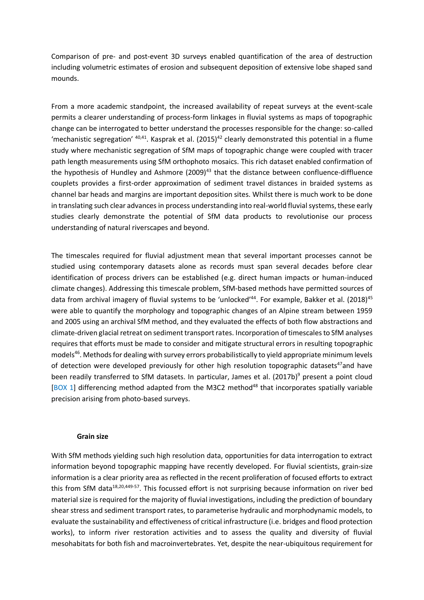Comparison of pre- and post-event 3D surveys enabled quantification of the area of destruction including volumetric estimates of erosion and subsequent deposition of extensive lobe shaped sand mounds.

From a more academic standpoint, the increased availability of repeat surveys at the event-scale permits a clearer understanding of process-form linkages in fluvial systems as maps of topographic change can be interrogated to better understand the processes responsible for the change: so-called 'mechanistic segregation'  $40,41$ . Kasprak et al. (2015)<sup>42</sup> clearly demonstrated this potential in a flume study where mechanistic segregation of SfM maps of topographic change were coupled with tracer path length measurements using SfM orthophoto mosaics. This rich dataset enabled confirmation of the hypothesis of Hundley and Ashmore  $(2009)^{43}$  that the distance between confluence-diffluence couplets provides a first-order approximation of sediment travel distances in braided systems as channel bar heads and margins are important deposition sites. Whilst there is much work to be done in translating such clear advances in process understanding into real-world fluvial systems, these early studies clearly demonstrate the potential of SfM data products to revolutionise our process understanding of natural riverscapes and beyond.

The timescales required for fluvial adjustment mean that several important processes cannot be studied using contemporary datasets alone as records must span several decades before clear identification of process drivers can be established (e.g. direct human impacts or human-induced climate changes). Addressing this timescale problem, SfM-based methods have permitted sources of data from archival imagery of fluvial systems to be 'unlocked'<sup>44</sup>. For example, Bakker et al. (2018)<sup>45</sup> were able to quantify the morphology and topographic changes of an Alpine stream between 1959 and 2005 using an archival SfM method, and they evaluated the effects of both flow abstractions and climate-driven glacial retreat on sediment transport rates. Incorporation of timescales to SfM analyses requires that efforts must be made to consider and mitigate structural errors in resulting topographic models<sup>46</sup>. Methods for dealing with survey errors probabilistically to yield appropriate minimum levels of detection were developed previously for other high resolution topographic datasets<sup>47</sup>and have been readily transferred to SfM datasets. In particular, James et al. (2017b)<sup>9</sup> present a point cloud  $[BOX 1]$  differencing method adapted from the M3C2 method<sup>48</sup> that incorporates spatially variable precision arising from photo-based surveys.

#### **Grain size**

With SfM methods yielding such high resolution data, opportunities for data interrogation to extract information beyond topographic mapping have recently developed. For fluvial scientists, grain-size information is a clear priority area as reflected in the recent proliferation of focused efforts to extract this from SfM data<sup>18,20,449-57</sup>. This focussed effort is not surprising because information on river bed material size is required for the majority of fluvial investigations, including the prediction of boundary shear stress and sediment transport rates, to parameterise hydraulic and morphodynamic models, to evaluate the sustainability and effectiveness of critical infrastructure (i.e. bridges and flood protection works), to inform river restoration activities and to assess the quality and diversity of fluvial mesohabitats for both fish and macroinvertebrates. Yet, despite the near-ubiquitous requirement for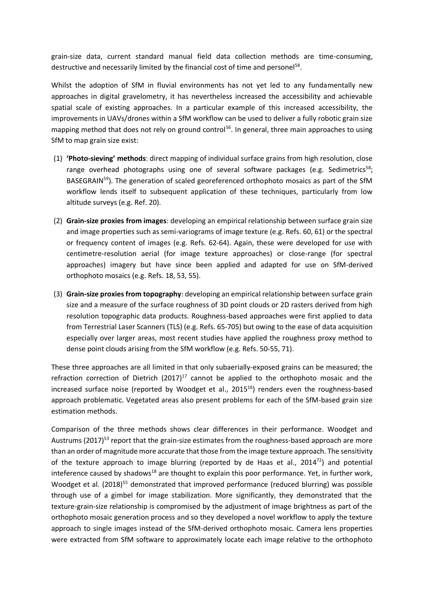grain-size data, current standard manual field data collection methods are time-consuming, destructive and necessarily limited by the financial cost of time and personel<sup>58</sup>.

Whilst the adoption of SfM in fluvial environments has not yet led to any fundamentally new approaches in digital gravelometry, it has nevertheless increased the accessibility and achievable spatial scale of existing approaches. In a particular example of this increased accessibility, the improvements in UAVs/drones within a SfM workflow can be used to deliver a fully robotic grain size mapping method that does not rely on ground control<sup>56</sup>. In general, three main approaches to using SfM to map grain size exist:

- (1) **'Photo-sieving' methods**: direct mapping of individual surface grains from high resolution, close range overhead photographs using one of several software packages (e.g. Sedimetrics<sup>58</sup>; BASEGRAIN<sup>59</sup>). The generation of scaled georeferenced orthophoto mosaics as part of the SfM workflow lends itself to subsequent application of these techniques, particularly from low altitude surveys (e.g. Ref. 20).
- (2) **Grain-size proxies from images**: developing an empirical relationship between surface grain size and image properties such as semi-variograms of image texture (e.g. Refs. 60, 61) or the spectral or frequency content of images (e.g. Refs. 62-64). Again, these were developed for use with centimetre-resolution aerial (for image texture approaches) or close-range (for spectral approaches) imagery but have since been applied and adapted for use on SfM-derived orthophoto mosaics (e.g. Refs. 18, 53, 55).
- (3) **Grain-size proxies from topography**: developing an empirical relationship between surface grain size and a measure of the surface roughness of 3D point clouds or 2D rasters derived from high resolution topographic data products. Roughness-based approaches were first applied to data from Terrestrial Laser Scanners (TLS) (e.g. Refs. 65-705) but owing to the ease of data acquisition especially over larger areas, most recent studies have applied the roughness proxy method to dense point clouds arising from the SfM workflow (e.g. Refs. 50-55, 71).

These three approaches are all limited in that only subaerially-exposed grains can be measured; the refraction correction of Dietrich  $(2017)^{17}$  cannot be applied to the orthophoto mosaic and the increased surface noise (reported by Woodget et al., 2015<sup>16</sup>) renders even the roughness-based approach problematic. Vegetated areas also present problems for each of the SfM-based grain size estimation methods.

Comparison of the three methods shows clear differences in their performance. Woodget and Austrums (2017)<sup>53</sup> report that the grain-size estimates from the roughness-based approach are more than an order of magnitude more accurate that those from the image texture approach. The sensitivity of the texture approach to image blurring (reported by de Haas et al., 2014 $^{72}$ ) and potential inteference caused by shadows<sup>18</sup> are thought to explain this poor performance. Yet, in further work, Woodget et al. (2018)<sup>55</sup> demonstrated that improved performance (reduced blurring) was possible through use of a gimbel for image stabilization. More significantly, they demonstrated that the texture-grain-size relationship is compromised by the adjustment of image brightness as part of the orthophoto mosaic generation process and so they developed a novel workflow to apply the texture approach to single images instead of the SfM-derived orthophoto mosaic. Camera lens properties were extracted from SfM software to approximately locate each image relative to the orthophoto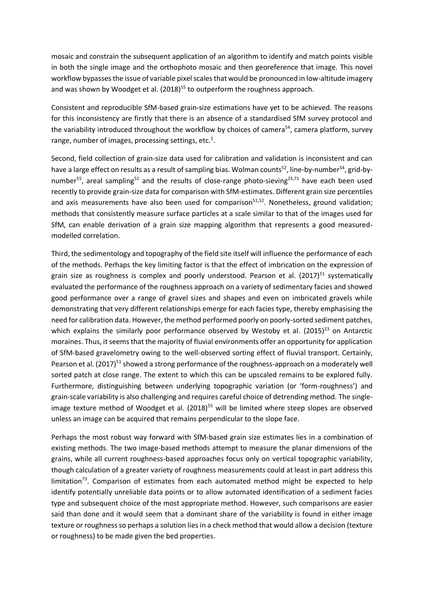mosaic and constrain the subsequent application of an algorithm to identify and match points visible in both the single image and the orthophoto mosaic and then georeference that image. This novel workflow bypasses the issue of variable pixel scales that would be pronounced in low-altitude imagery and was shown by Woodget et al. (2018)<sup>55</sup> to outperform the roughness approach.

Consistent and reproducible SfM-based grain-size estimations have yet to be achieved. The reasons for this inconsistency are firstly that there is an absence of a standardised SfM survey protocol and the variability introduced throughout the workflow by choices of camera<sup>54</sup>, camera platform, survey range, number of images, processing settings, etc. $<sup>1</sup>$ .</sup>

Second, field collection of grain-size data used for calibration and validation is inconsistent and can have a large effect on results as a result of sampling bias. Wolman counts<sup>52</sup>, line-by-number<sup>54</sup>, grid-bynumber<sup>55</sup>, areal sampling<sup>51</sup> and the results of close-range photo-sieving<sup>23,71</sup> have each been used recently to provide grain-size data for comparison with SfM-estimates. Different grain size percentiles and axis measurements have also been used for comparison<sup>51,52</sup>. Nonetheless, ground validation; methods that consistently measure surface particles at a scale similar to that of the images used for SfM, can enable derivation of a grain size mapping algorithm that represents a good measuredmodelled correlation.

Third, the sedimentology and topography of the field site itself will influence the performance of each of the methods. Perhaps the key limiting factor is that the effect of imbrication on the expression of grain size as roughness is complex and poorly understood. Pearson et al.  $(2017)^{51}$  systematically evaluated the performance of the roughness approach on a variety of sedimentary facies and showed good performance over a range of gravel sizes and shapes and even on imbricated gravels while demonstrating that very different relationships emerge for each facies type, thereby emphasising the need for calibration data. However, the method performed poorly on poorly-sorted sediment patches, which explains the similarly poor performance observed by Westoby et al.  $(2015)^{23}$  on Antarctic moraines. Thus, it seems that the majority of fluvial environments offer an opportunity for application of SfM-based gravelometry owing to the well-observed sorting effect of fluvial transport. Certainly, Pearson et al. (2017)<sup>51</sup> showed a strong performance of the roughness-approach on a moderately well sorted patch at close range. The extent to which this can be upscaled remains to be explored fully. Furthermore, distinguishing between underlying topographic variation (or 'form-roughness') and grain-scale variability is also challenging and requires careful choice of detrending method. The singleimage texture method of Woodget et al. (2018)<sup>55</sup> will be limited where steep slopes are observed unless an image can be acquired that remains perpendicular to the slope face.

Perhaps the most robust way forward with SfM-based grain size estimates lies in a combination of existing methods. The two image-based methods attempt to measure the planar dimensions of the grains, while all current roughness-based approaches focus only on vertical topographic variability, though calculation of a greater variety of roughness measurements could at least in part address this limitation<sup>73</sup>. Comparison of estimates from each automated method might be expected to help identify potentially unreliable data points or to allow automated identification of a sediment facies type and subsequent choice of the most appropriate method. However, such comparisons are easier said than done and it would seem that a dominant share of the variability is found in either image texture or roughness so perhaps a solution lies in a check method that would allow a decision (texture or roughness) to be made given the bed properties.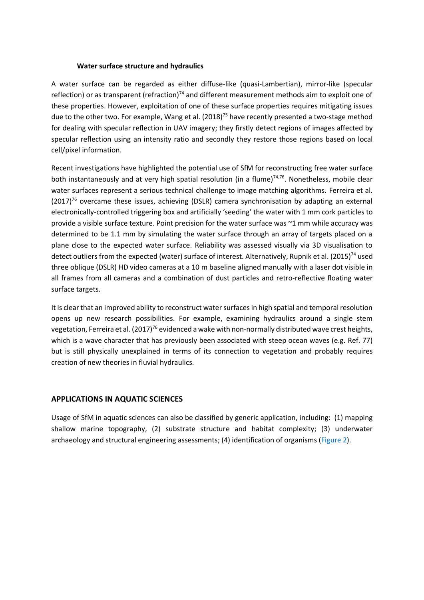## **Water surface structure and hydraulics**

A water surface can be regarded as either diffuse-like (quasi-Lambertian), mirror-like (specular reflection) or as transparent (refraction)<sup>74</sup> and different measurement methods aim to exploit one of these properties. However, exploitation of one of these surface properties requires mitigating issues due to the other two. For example, Wang et al. (2018)<sup>75</sup> have recently presented a two-stage method for dealing with specular reflection in UAV imagery; they firstly detect regions of images affected by specular reflection using an intensity ratio and secondly they restore those regions based on local cell/pixel information.

Recent investigations have highlighted the potential use of SfM for reconstructing free water surface both instantaneously and at very high spatial resolution (in a flume)<sup>74,76</sup>. Nonetheless, mobile clear water surfaces represent a serious technical challenge to image matching algorithms. Ferreira et al.  $(2017)^{76}$  overcame these issues, achieving (DSLR) camera synchronisation by adapting an external electronically-controlled triggering box and artificially 'seeding' the water with 1 mm cork particles to provide a visible surface texture. Point precision for the water surface was ~1 mm while accuracy was determined to be 1.1 mm by simulating the water surface through an array of targets placed on a plane close to the expected water surface. Reliability was assessed visually via 3D visualisation to detect outliers from the expected (water) surface of interest. Alternatively, Rupnik et al. (2015)<sup>74</sup> used three oblique (DSLR) HD video cameras at a 10 m baseline aligned manually with a laser dot visible in all frames from all cameras and a combination of dust particles and retro-reflective floating water surface targets.

It is clear that an improved ability to reconstruct water surfaces in high spatial and temporal resolution opens up new research possibilities. For example, examining hydraulics around a single stem vegetation, Ferreira et al. (2017)<sup>76</sup> evidenced a wake with non-normally distributed wave crest heights, which is a wave character that has previously been associated with steep ocean waves (e.g. Ref. 77) but is still physically unexplained in terms of its connection to vegetation and probably requires creation of new theories in fluvial hydraulics.

## **APPLICATIONS IN AQUATIC SCIENCES**

Usage of SfM in aquatic sciences can also be classified by generic application, including: (1) mapping shallow marine topography, (2) substrate structure and habitat complexity; (3) underwater archaeology and structural engineering assessments; (4) identification of organisms (Figure 2).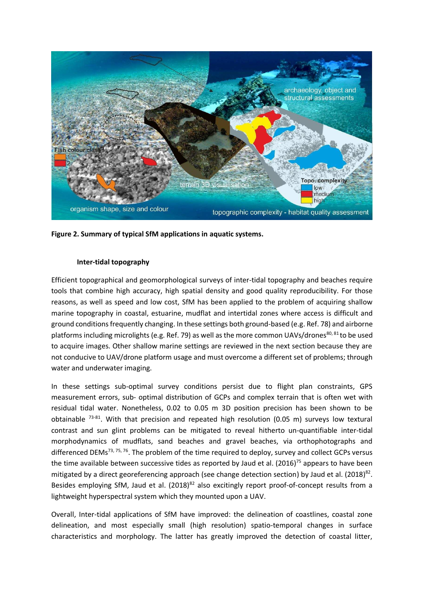

**Figure 2. Summary of typical SfM applications in aquatic systems.**

# **Inter-tidal topography**

Efficient topographical and geomorphological surveys of inter-tidal topography and beaches require tools that combine high accuracy, high spatial density and good quality reproducibility. For those reasons, as well as speed and low cost, SfM has been applied to the problem of acquiring shallow marine topography in coastal, estuarine, mudflat and intertidal zones where access is difficult and ground conditions frequently changing. In these settings both ground-based (e.g. Ref. 78) and airborne platforms including microlights (e.g. Ref. 79) as well as the more common UAVs/drones<sup>80, 81</sup> to be used to acquire images. Other shallow marine settings are reviewed in the next section because they are not conducive to UAV/drone platform usage and must overcome a different set of problems; through water and underwater imaging.

In these settings sub-optimal survey conditions persist due to flight plan constraints, GPS measurement errors, sub- optimal distribution of GCPs and complex terrain that is often wet with residual tidal water. Nonetheless, 0.02 to 0.05 m 3D position precision has been shown to be obtainable  $73-81$ . With that precision and repeated high resolution (0.05 m) surveys low textural contrast and sun glint problems can be mitigated to reveal hitherto un-quantifiable inter-tidal morphodynamics of mudflats, sand beaches and gravel beaches, via orthophotographs and differenced DEMs<sup>73, 75, 76</sup>. The problem of the time required to deploy, survey and collect GCPs versus the time available between successive tides as reported by Jaud et al.  $(2016)^{75}$  appears to have been mitigated by a direct georeferencing approach (see change detection section) by Jaud et al. (2018)<sup>82</sup>. Besides employing SfM, Jaud et al.  $(2018)^{82}$  also excitingly report proof-of-concept results from a lightweight hyperspectral system which they mounted upon a UAV.

Overall, Inter-tidal applications of SfM have improved: the delineation of coastlines, coastal zone delineation, and most especially small (high resolution) spatio-temporal changes in surface characteristics and morphology. The latter has greatly improved the detection of coastal litter,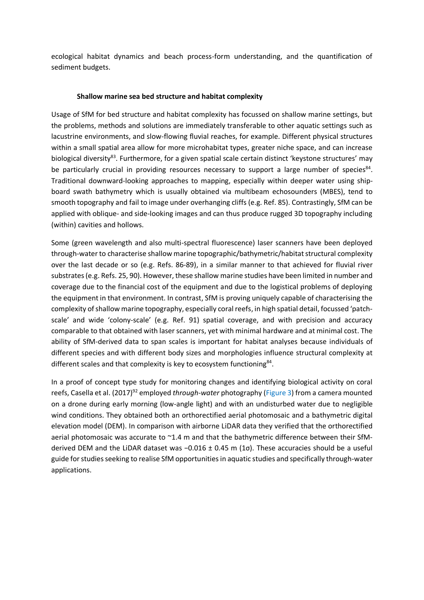ecological habitat dynamics and beach process-form understanding, and the quantification of sediment budgets.

# **Shallow marine sea bed structure and habitat complexity**

Usage of SfM for bed structure and habitat complexity has focussed on shallow marine settings, but the problems, methods and solutions are immediately transferable to other aquatic settings such as lacustrine environments, and slow-flowing fluvial reaches, for example. Different physical structures within a small spatial area allow for more microhabitat types, greater niche space, and can increase biological diversity<sup>83</sup>. Furthermore, for a given spatial scale certain distinct 'keystone structures' may be particularly crucial in providing resources necessary to support a large number of species<sup>84</sup>. Traditional downward-looking approaches to mapping, especially within deeper water using shipboard swath bathymetry which is usually obtained via multibeam echosounders (MBES), tend to smooth topography and fail to image under overhanging cliffs (e.g. Ref. 85). Contrastingly, SfM can be applied with oblique- and side-looking images and can thus produce rugged 3D topography including (within) cavities and hollows.

Some (green wavelength and also multi-spectral fluorescence) laser scanners have been deployed through-water to characterise shallow marine topographic/bathymetric/habitat structural complexity over the last decade or so (e.g. Refs. 86-89), in a similar manner to that achieved for fluvial river substrates (e.g. Refs. 25, 90). However, these shallow marine studies have been limited in number and coverage due to the financial cost of the equipment and due to the logistical problems of deploying the equipment in that environment. In contrast, SfM is proving uniquely capable of characterising the complexity of shallow marine topography, especially coral reefs, in high spatial detail, focussed 'patchscale' and wide 'colony-scale' (e.g. Ref. 91) spatial coverage, and with precision and accuracy comparable to that obtained with laser scanners, yet with minimal hardware and at minimal cost. The ability of SfM-derived data to span scales is important for habitat analyses because individuals of different species and with different body sizes and morphologies influence structural complexity at different scales and that complexity is key to ecosystem functioning $84$ .

In a proof of concept type study for monitoring changes and identifying biological activity on coral reefs, Casella et al. (2017)<sup>92</sup> employed *through-water* photography (Figure 3) from a camera mounted on a drone during early morning (low-angle light) and with an undisturbed water due to negligible wind conditions. They obtained both an orthorectified aerial photomosaic and a bathymetric digital elevation model (DEM). In comparison with airborne LiDAR data they verified that the orthorectified aerial photomosaic was accurate to ~1.4 m and that the bathymetric difference between their SfMderived DEM and the LiDAR dataset was  $-0.016 \pm 0.45$  m (1 $\sigma$ ). These accuracies should be a useful guide for studies seeking to realise SfM opportunities in aquatic studies and specifically through-water applications.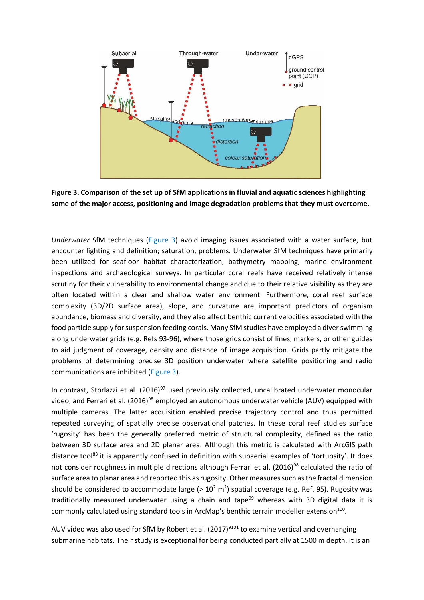

**Figure 3. Comparison of the set up of SfM applications in fluvial and aquatic sciences highlighting some of the major access, positioning and image degradation problems that they must overcome.** 

*Underwater* SfM techniques (Figure 3) avoid imaging issues associated with a water surface, but encounter lighting and definition; saturation, problems. Underwater SfM techniques have primarily been utilized for seafloor habitat characterization, bathymetry mapping, marine environment inspections and archaeological surveys. In particular coral reefs have received relatively intense scrutiny for their vulnerability to environmental change and due to their relative visibility as they are often located within a clear and shallow water environment. Furthermore, coral reef surface complexity (3D/2D surface area), slope, and curvature are important predictors of organism abundance, biomass and diversity, and they also affect benthic current velocities associated with the food particle supply for suspension feeding corals. Many SfM studies have employed a diver swimming along underwater grids (e.g. Refs 93-96), where those grids consist of lines, markers, or other guides to aid judgment of coverage, density and distance of image acquisition. Grids partly mitigate the problems of determining precise 3D position underwater where satellite positioning and radio communications are inhibited (Figure 3).

In contrast, Storlazzi et al. (2016)<sup>97</sup> used previously collected, uncalibrated underwater monocular video, and Ferrari et al. (2016)<sup>98</sup> employed an autonomous underwater vehicle (AUV) equipped with multiple cameras. The latter acquisition enabled precise trajectory control and thus permitted repeated surveying of spatially precise observational patches. In these coral reef studies surface 'rugosity' has been the generally preferred metric of structural complexity, defined as the ratio between 3D surface area and 2D planar area. Although this metric is calculated with ArcGIS path distance tool<sup>83</sup> it is apparently confused in definition with subaerial examples of 'tortuosity'. It does not consider roughness in multiple directions although Ferrari et al. (2016)<sup>98</sup> calculated the ratio of surface area to planar area and reported this as rugosity. Other measures such as the fractal dimension should be considered to accommodate large ( $> 10<sup>2</sup>$  m<sup>2</sup>) spatial coverage (e.g. Ref. 95). Rugosity was traditionally measured underwater using a chain and tape<sup>99</sup> whereas with 3D digital data it is commonly calculated using standard tools in ArcMap's benthic terrain modeller extension<sup>100</sup>.

AUV video was also used for SfM by Robert et al.  $(2017)^{9101}$  to examine vertical and overhanging submarine habitats. Their study is exceptional for being conducted partially at 1500 m depth. It is an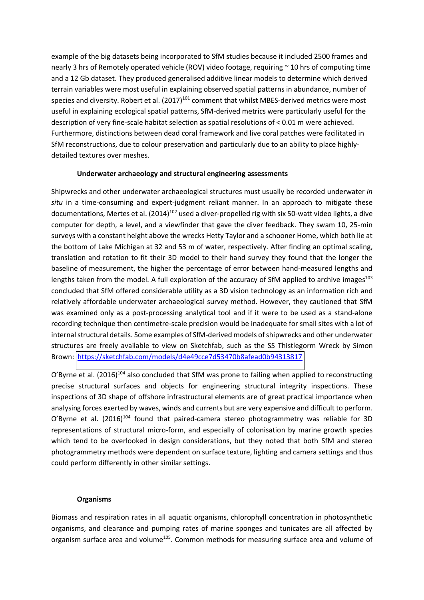example of the big datasets being incorporated to SfM studies because it included 2500 frames and nearly 3 hrs of Remotely operated vehicle (ROV) video footage, requiring ~ 10 hrs of computing time and a 12 Gb dataset. They produced generalised additive linear models to determine which derived terrain variables were most useful in explaining observed spatial patterns in abundance, number of species and diversity. Robert et al.  $(2017)^{101}$  comment that whilst MBES-derived metrics were most useful in explaining ecological spatial patterns, SfM-derived metrics were particularly useful for the description of very fine-scale habitat selection as spatial resolutions of < 0.01 m were achieved. Furthermore, distinctions between dead coral framework and live coral patches were facilitated in SfM reconstructions, due to colour preservation and particularly due to an ability to place highlydetailed textures over meshes.

#### **Underwater archaeology and structural engineering assessments**

Shipwrecks and other underwater archaeological structures must usually be recorded underwater *in situ* in a time-consuming and expert-judgment reliant manner. In an approach to mitigate these documentations, Mertes et al. (2014)<sup>102</sup> used a diver-propelled rig with six 50-watt video lights, a dive computer for depth, a level, and a viewfinder that gave the diver feedback. They swam 10, 25-min surveys with a constant height above the wrecks Hetty Taylor and a schooner Home, which both lie at the bottom of Lake Michigan at 32 and 53 m of water, respectively. After finding an optimal scaling, translation and rotation to fit their 3D model to their hand survey they found that the longer the baseline of measurement, the higher the percentage of error between hand-measured lengths and lengths taken from the model. A full exploration of the accuracy of SfM applied to archive images<sup>103</sup> concluded that SfM offered considerable utility as a 3D vision technology as an information rich and relatively affordable underwater archaeological survey method. However, they cautioned that SfM was examined only as a post-processing analytical tool and if it were to be used as a stand-alone recording technique then centimetre-scale precision would be inadequate for small sites with a lot of internal structural details. Some examples of SfM-derived models of shipwrecks and other underwater structures are freely available to view on Sketchfab, such as the SS Thistlegorm Wreck by Simon Brown: <https://sketchfab.com/models/d4e49cce7d53470b8afead0b94313817>

O'Byrne et al. (2016)<sup>104</sup> also concluded that SfM was prone to failing when applied to reconstructing precise structural surfaces and objects for engineering structural integrity inspections. These inspections of 3D shape of offshore infrastructural elements are of great practical importance when analysing forces exerted by waves, winds and currents but are very expensive and difficult to perform. O'Byrne et al. (2016)<sup>104</sup> found that paired-camera stereo photogrammetry was reliable for 3D representations of structural micro-form, and especially of colonisation by marine growth species which tend to be overlooked in design considerations, but they noted that both SfM and stereo photogrammetry methods were dependent on surface texture, lighting and camera settings and thus could perform differently in other similar settings.

#### **Organisms**

Biomass and respiration rates in all aquatic organisms, chlorophyll concentration in photosynthetic organisms, and clearance and pumping rates of marine sponges and tunicates are all affected by organism surface area and volume<sup>105</sup>. Common methods for measuring surface area and volume of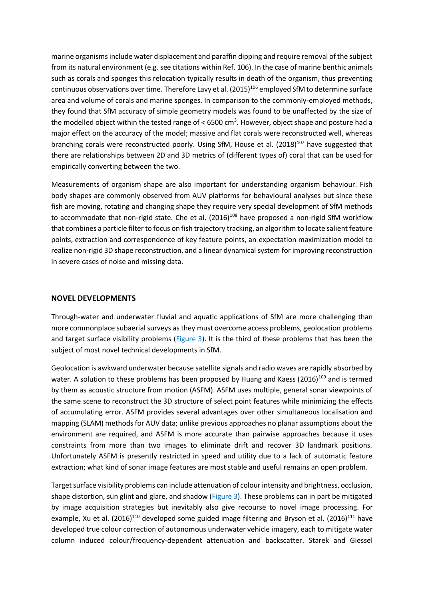marine organisms include water displacement and paraffin dipping and require removal of the subject from its natural environment (e.g. see citations within Ref. 106). In the case of marine benthic animals such as corals and sponges this relocation typically results in death of the organism, thus preventing continuous observations over time. Therefore Lavy et al. (2015)<sup>106</sup> employed SfM to determine surface area and volume of corals and marine sponges. In comparison to the commonly-employed methods, they found that SfM accuracy of simple geometry models was found to be unaffected by the size of the modelled object within the tested range of <  $6500 \text{ cm}^3$ . However, object shape and posture had a major effect on the accuracy of the model; massive and flat corals were reconstructed well, whereas branching corals were reconstructed poorly. Using SfM, House et al. (2018)<sup>107</sup> have suggested that there are relationships between 2D and 3D metrics of (different types of) coral that can be used for empirically converting between the two.

Measurements of organism shape are also important for understanding organism behaviour. Fish body shapes are commonly observed from AUV platforms for behavioural analyses but since these fish are moving, rotating and changing shape they require very special development of SfM methods to accommodate that non-rigid state. Che et al. (2016)<sup>108</sup> have proposed a non-rigid SfM workflow that combines a particle filter to focus on fish trajectory tracking, an algorithm to locate salient feature points, extraction and correspondence of key feature points, an expectation maximization model to realize non-rigid 3D shape reconstruction, and a linear dynamical system for improving reconstruction in severe cases of noise and missing data.

## **NOVEL DEVELOPMENTS**

Through-water and underwater fluvial and aquatic applications of SfM are more challenging than more commonplace subaerial surveys as they must overcome access problems, geolocation problems and target surface visibility problems (Figure 3). It is the third of these problems that has been the subject of most novel technical developments in SfM.

Geolocation is awkward underwater because satellite signals and radio waves are rapidly absorbed by water. A solution to these problems has been proposed by Huang and Kaess (2016)<sup>109</sup> and is termed by them as acoustic structure from motion (ASFM). ASFM uses multiple, general sonar viewpoints of the same scene to reconstruct the 3D structure of select point features while minimizing the effects of accumulating error. ASFM provides several advantages over other simultaneous localisation and mapping (SLAM) methods for AUV data; unlike previous approaches no planar assumptions about the environment are required, and ASFM is more accurate than pairwise approaches because it uses constraints from more than two images to eliminate drift and recover 3D landmark positions. Unfortunately ASFM is presently restricted in speed and utility due to a lack of automatic feature extraction; what kind of sonar image features are most stable and useful remains an open problem.

Target surface visibility problems can include attenuation of colour intensity and brightness, occlusion, shape distortion, sun glint and glare, and shadow (Figure 3). These problems can in part be mitigated by image acquisition strategies but inevitably also give recourse to novel image processing. For example, Xu et al.  $(2016)^{110}$  developed some guided image filtering and Bryson et al.  $(2016)^{111}$  have developed true colour correction of autonomous underwater vehicle imagery, each to mitigate water column induced colour/frequency-dependent attenuation and backscatter. Starek and Giessel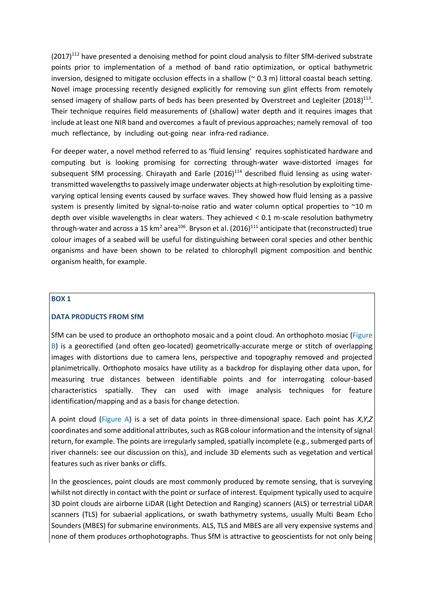$(2017)^{112}$  have presented a denoising method for point cloud analysis to filter SfM-derived substrate points prior to implementation of a method of band ratio optimization, or optical bathymetric inversion, designed to mitigate occlusion effects in a shallow (~ 0.3 m) littoral coastal beach setting. Novel image processing recently designed explicitly for removing sun glint effects from remotely sensed imagery of shallow parts of beds has been presented by Overstreet and Legleiter  $(2018)^{113}$ . Their technique requires field measurements of (shallow) water depth and it requires images that include at least one NIR band and overcomes a fault of previous approaches; namely removal of too much reflectance, by including out-going near infra-red radiance.

For deeper water, a novel method referred to as 'fluid lensing' requires sophisticated hardware and computing but is looking promising for correcting through-water wave-distorted images for subsequent SfM processing. Chirayath and Earle (2016)<sup>114</sup> described fluid lensing as using watertransmitted wavelengths to passively image underwater objects at high-resolution by exploiting timevarying optical lensing events caused by surface waves. They showed how fluid lensing as a passive system is presently limited by signal-to-noise ratio and water column optical properties to ~10 m depth over visible wavelengths in clear waters. They achieved < 0.1 m-scale resolution bathymetry through-water and across a 15 km<sup>2</sup> area<sup>106</sup>. Bryson et al. (2016)<sup>111</sup> anticipate that (reconstructed) true colour images of a seabed will be useful for distinguishing between coral species and other benthic organisms and have been shown to be related to chlorophyll pigment composition and benthic organism health, for example.

# **BOX 1**

#### **DATA PRODUCTS FROM SfM**

SfM can be used to produce an orthophoto mosaic and a point cloud. An orthophoto mosiac (Figure B) is a georectified (and often geo-located) geometrically-accurate merge or stitch of overlapping images with distortions due to camera lens, perspective and topography removed and projected planimetrically. Orthophoto mosaics have utility as a backdrop for displaying other data upon, for measuring true distances between identifiable points and for interrogating colour-based characteristics spatially. They can used with image analysis techniques for feature identification/mapping and as a basis for change detection.

A point cloud (Figure A) is a set of data points in three-dimensional space. Each point has *X*,*Y*,*Z* coordinates and some additional attributes, such as RGB colour information and the intensity of signal return, for example. The points are irregularly sampled, spatially incomplete (e.g., submerged parts of river channels: see our discussion on this), and include 3D elements such as vegetation and vertical features such as river banks or cliffs.

In the geosciences, point clouds are most commonly produced by remote sensing, that is surveying whilst not directly in contact with the point or surface of interest. Equipment typically used to acquire 3D point clouds are airborne LiDAR (Light Detection and Ranging) scanners (ALS) or terrestrial LiDAR scanners (TLS) for subaerial applications, or swath bathymetry systems, usually Multi Beam Echo Sounders (MBES) for submarine environments. ALS, TLS and MBES are all very expensive systems and none of them produces orthophotographs. Thus SfM is attractive to geoscientists for not only being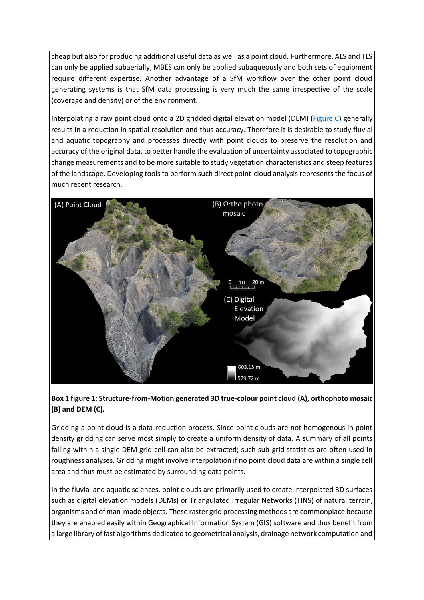cheap but also for producing additional useful data as well as a point cloud. Furthermore, ALS and TLS can only be applied subaerially, MBES can only be applied subaqueously and both sets of equipment require different expertise. Another advantage of a SfM workflow over the other point cloud generating systems is that SfM data processing is very much the same irrespective of the scale (coverage and density) or of the environment.

Interpolating a raw point cloud onto a 2D gridded digital elevation model (DEM) (Figure C) generally results in a reduction in spatial resolution and thus accuracy. Therefore it is desirable to study fluvial and aquatic topography and processes directly with point clouds to preserve the resolution and accuracy of the original data, to better handle the evaluation of uncertainty associated to topographic change measurements and to be more suitable to study vegetation characteristics and steep features of the landscape. Developing tools to perform such direct point-cloud analysis represents the focus of much recent research.



**Box 1 figure 1: Structure-from-Motion generated 3D true-colour point cloud (A), orthophoto mosaic (B) and DEM (C).** 

Gridding a point cloud is a data-reduction process. Since point clouds are not homogenous in point density gridding can serve most simply to create a uniform density of data. A summary of all points falling within a single DEM grid cell can also be extracted; such sub-grid statistics are often used in roughness analyses. Gridding might involve interpolation if no point cloud data are within a single cell area and thus must be estimated by surrounding data points.

In the fluvial and aquatic sciences, point clouds are primarily used to create interpolated 3D surfaces such as digital elevation models (DEMs) or Triangulated Irregular Networks (TINS) of natural terrain, organisms and of man-made objects. These raster grid processing methods are commonplace because they are enabled easily within Geographical Information System (GIS) software and thus benefit from a large library of fast algorithms dedicated to geometrical analysis, drainage network computation and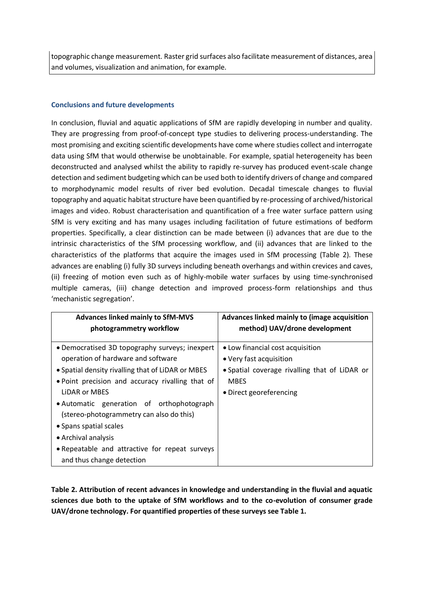topographic change measurement. Raster grid surfaces also facilitate measurement of distances, area and volumes, visualization and animation, for example.

# **Conclusions and future developments**

In conclusion, fluvial and aquatic applications of SfM are rapidly developing in number and quality. They are progressing from proof-of-concept type studies to delivering process-understanding. The most promising and exciting scientific developments have come where studies collect and interrogate data using SfM that would otherwise be unobtainable. For example, spatial heterogeneity has been deconstructed and analysed whilst the ability to rapidly re-survey has produced event-scale change detection and sediment budgeting which can be used both to identify drivers of change and compared to morphodynamic model results of river bed evolution. Decadal timescale changes to fluvial topography and aquatic habitat structure have been quantified by re-processing of archived/historical images and video. Robust characterisation and quantification of a free water surface pattern using SfM is very exciting and has many usages including facilitation of future estimations of bedform properties. Specifically, a clear distinction can be made between (i) advances that are due to the intrinsic characteristics of the SfM processing workflow, and (ii) advances that are linked to the characteristics of the platforms that acquire the images used in SfM processing (Table 2). These advances are enabling (i) fully 3D surveys including beneath overhangs and within crevices and caves, (ii) freezing of motion even such as of highly-mobile water surfaces by using time-synchronised multiple cameras, (iii) change detection and improved process-form relationships and thus 'mechanistic segregation'.

| <b>Advances linked mainly to SfM-MVS</b>                                                                                                                                                                                                                                                                                                                                                                                                | Advances linked mainly to (image acquisition                                                                                                           |
|-----------------------------------------------------------------------------------------------------------------------------------------------------------------------------------------------------------------------------------------------------------------------------------------------------------------------------------------------------------------------------------------------------------------------------------------|--------------------------------------------------------------------------------------------------------------------------------------------------------|
| photogrammetry workflow                                                                                                                                                                                                                                                                                                                                                                                                                 | method) UAV/drone development                                                                                                                          |
| • Democratised 3D topography surveys; inexpert<br>operation of hardware and software<br>• Spatial density rivalling that of LiDAR or MBES<br>. Point precision and accuracy rivalling that of<br>LIDAR or MBES<br>• Automatic generation of orthophotograph<br>(stereo-photogrammetry can also do this)<br>• Spans spatial scales<br>• Archival analysis<br>• Repeatable and attractive for repeat surveys<br>and thus change detection | • Low financial cost acquisition<br>• Very fast acquisition<br>· Spatial coverage rivalling that of LiDAR or<br><b>MBES</b><br>• Direct georeferencing |

**Table 2. Attribution of recent advances in knowledge and understanding in the fluvial and aquatic sciences due both to the uptake of SfM workflows and to the co-evolution of consumer grade UAV/drone technology. For quantified properties of these surveys see Table 1.**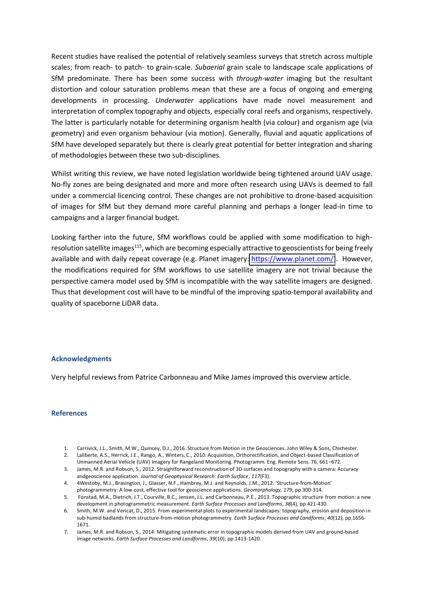Recent studies have realised the potential of relatively seamless surveys that stretch across multiple scales; from reach- to patch- to grain-scale. *Subaerial* grain scale to landscape scale applications of SfM predominate. There has been some success with *through-water* imaging but the resultant distortion and colour saturation problems mean that these are a focus of ongoing and emerging developments in processing. *Underwater* applications have made novel measurement and interpretation of complex topography and objects, especially coral reefs and organisms, respectively. The latter is particularly notable for determining organism health (via colour) and organism age (via geometry) and even organism behaviour (via motion). Generally, fluvial and aquatic applications of SfM have developed separately but there is clearly great potential for better integration and sharing of methodologies between these two sub-disciplines.

Whilst writing this review, we have noted legislation worldwide being tightened around UAV usage. No-fly zones are being designated and more and more often research using UAVs is deemed to fall under a commercial licencing control. These changes are not prohibitive to drone-based acquisition of images for SfM but they demand more careful planning and perhaps a longer lead-in time to campaigns and a larger financial budget.

Looking farther into the future, SfM workflows could be applied with some modification to highresolution satellite images<sup>115</sup>, which are becoming especially attractive to geoscientists for being freely available and with daily repeat coverage (e.g. Planet imagery: [https://www.planet.com/\)](https://www.planet.com/). However, the modifications required for SfM workflows to use satellite imagery are not trivial because the perspective camera model used by SfM is incompatible with the way satellite imagers are designed. Thus that development cost will have to be mindful of the improving spatio-temporal availability and quality of spaceborne LiDAR data.

#### **Acknowledgments**

Very helpful reviews from Patrice Carbonneau and Mike James improved this overview article.

#### **References**

- 1. Carrivick, J.L., Smith, M.W., Quincey, D.J., 2016. Structure from Motion in the Geosciences. John Wiley & Sons, Chichester.
- 2. Laliberte, A.S., Herrick, J.E., Rango, A., Winters, C., 2010. Acquisition, Orthorectification, and Object-based Classification of Unmanned Aerial Vehicle (UAV) Imagery for Rangeland Monitoring. Photogramm. Eng. Remote Sens. 76, 661-672.
- 3. James, M.R. and Robson, S., 2012. Straightforward reconstruction of 3D surfaces and topography with a camera: Accuracy andgeoscience application. *Journal of Geophysical Research: Earth Surface*, *117*(F3).
- 4. 4Westoby, M.J., Brasington, J., Glasser, N.F., Hambrey, M.J. and Reynolds, J.M., 2012. 'Structure-from-Motion' photogrammetry: A low-cost, effective tool for geoscience applications. *Geomorphology, 179*, pp.300-314.
- 5. Fonstad, M.A., Dietrich, J.T., Courville, B.C., Jensen, J.L. and Carbonneau, P.E., 2013. Topographic structure from motion: a new development in photogrammetric measurement. *Earth Surface Processes and Landforms*, *38*(4), pp.421-430.
- 6. Smith, M.W. and Vericat, D., 2015. From experimental plots to experimental landscapes: topography, erosion and deposition in sub-humid badlands from structure-from-motion photogrammetry. *Earth Surface Processes and Landforms*, 40(12), pp.1656-1671.
- 7. James, M.R. and Robson, S., 2014. Mitigating systematic error in topographic models derived from UAV and ground-based image networks. *Earth Surface Processes and Landforms*, *39*(10), pp.1413-1420.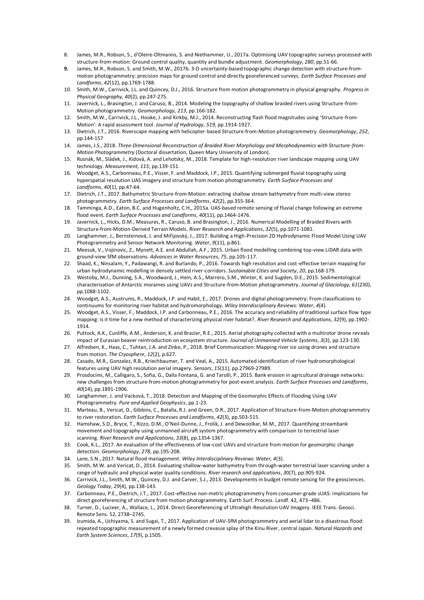- 8. James, M.R., Robson, S., d'Oleire-Oltmanns, S. and Niethammer, U., 2017a. Optimising UAV topographic surveys processed with structure-from-motion: Ground control quality, quantity and bundle adjustment. *Geomorphology*, *280*, pp.51-66.
- 9. James, M.R., Robson, S. and Smith, M.W., 2017b. 3-D uncertainty-based topographic change detection with structure-frommotion photogrammetry: precision maps for ground control and directly georeferenced surveys. *Earth Surface Processes and Landforms*, *42*(12), pp.1769-1788.
- 10. Smith, M.W., Carrivick, J.L. and Quincey, D.J., 2016. Structure from motion photogrammetry in physical geography. *Progress in Physical Geography, 40*(2), pp.247-275.
- 11. Javernick, L., Brasington, J. and Caruso, B., 2014. Modeling the topography of shallow braided rivers using Structure-from-Motion photogrammetry. *Geomorphology*, *213*, pp.166-182.
- 12. Smith, M.W., Carrivick, J.L., Hooke, J. and Kirkby, M.J., 2014. Reconstructing flash flood magnitudes using 'Structure-from-Motion': A rapid assessment tool. Journal of Hydrology, 519, pp.1914-1927.
- 13. Dietrich, J.T., 2016. Riverscape mapping with helicopter-based Structure-from-Motion photogrammetry. *Geomorphology*, *252*, pp.144-157
- 14. James, J.S., 2018. *Three-Dimensional Reconstruction of Braided River Morphology and Morphodynamics with Structure-from-Motion Photogrammetry* (Doctoral dissertation, Queen Mary University of London).
- 15. Rusnák, M., Sládek, J., Kidová, A. and Lehotský, M., 2018. Template for high-resolution river landscape mapping using UAV technology. *Measurement, 115*, pp.139-151.
- 16. Woodget, A.S., Carbonneau, P.E., Visser, F. and Maddock, I.P., 2015. Quantifying submerged fluvial topography using hyperspatial resolution UAS imagery and structure from motion photogrammetry. *Earth Surface Processes and Landforms*, *40*(1), pp.47-64.
- 17. Dietrich, J.T., 2017. Bathymetric Structure-from-Motion: extracting shallow stream bathymetry from multi-view stereo photogrammetry. *Earth Surface Processes and Landforms*, *42*(2), pp.355-364.
- 18. Tamminga, A.D., Eaton, B.C. and Hugenholtz, C.H., 2015a. UAS-based remote sensing of fluvial change following an extreme flood event. *Earth Surface Processes and Landforms*, *40*(11), pp.1464-1476.
- 19. Javernick, L., Hicks, D.M., Measures, R., Caruso, B. and Brasington, J., 2016. Numerical Modelling of Braided Rivers with Structure-from-Motion-Derived Terrain Models. River Research and Applications, 32(5), pp.1071-1081.
- 20. Langhammer, J., Bernsteinová, J. and Miřijovský, J., 2017. Building a High-Precision 2D Hydrodynamic Flood Model Using UAV Photogrammetry and Sensor Network Monitoring. *Water*, *9*(11), p.861.
- 21. Meesuk, V., Vojinovic, Z., Mynett, A.E. and Abdullah, A.F., 2015. Urban flood modelling combining top-view LiDAR data with ground-view SfM observations. *Advances in Water Resources*, *75*, pp.105-117.
- 22. Shaad, K., Ninsalam, Y., Padawangi, R. and Burlando, P., 2016. Towards high resolution and cost-effective terrain mapping for urban hydrodynamic modelling in densely settled river-corridors. *Sustainable Cities and Society*, *20*, pp.168-179.
- 23. Westoby, M.J., Dunning, S.A., Woodward, J., Hein, A.S., Marrero, S.M., Winter, K. and Sugden, D.E., 2015. Sedimentological characterization of Antarctic moraines using UAVs and Structure-from-Motion photogrammetry. *Journal of Glaciology, 61*(230), pp.1088-1102.
- 24. Woodget, A.S., Austrums, R., Maddock, I.P. and Habit, E., 2017. Drones and digital photogrammetry: From classifications to continuums for monitoring river habitat and hydromorphology. *Wiley Interdisciplinary Reviews: Water*, *4*(4).
- 25. Woodget, A.S., Visser, F., Maddock, I.P. and Carbonneau, P.E., 2016. The accuracy and reliability of traditional surface flow type mapping: is it time for a new method of characterizing physical river habitat?. *River Research and Applications, 32*(9), pp.1902- 1914.
- 26. Puttock, A.K., Cunliffe, A.M., Anderson, K. and Brazier, R.E., 2015. Aerial photography collected with a multirotor drone rev eals impact of Eurasian beaver reintroduction on ecosystem structure. *Journal of Unmanned Vehicle Systems*, *3*(3), pp.123-130.
- 27. Alfredsen, K., Haas, C., Tuhtan, J.A. and Zinke, P., 2018. Brief Communication: Mapping river ice using drones and structure from motion. *The Cryosphere*, *12*(2), p.627.
- 28. Casado, M.R., Gonzalez, R.B., Kriechbaumer, T. and Veal, A., 2015. Automated identification of river hydromorphological features using UAV high resolution aerial imagery. *Sensors*, *15*(11), pp.27969-27989.
- 29. Prosdocimi, M., Calligaro, S., Sofia, G., Dalla Fontana, G. and Tarolli, P., 2015. Bank erosion in agricultural drainage networks: new challenges from structure-from-motion photogrammetry for post-event analysis. Earth Surface Processes and Landforms, *40*(14), pp.1891-1906.
- 30. Langhammer, J. and Vacková, T., 2018. Detection and Mapping of the Geomorphic Effects of Flooding Using UAV Photogrammetry. *Pure and Applied Geophysics*, pp.1-23.
- 31. Marteau, B., Vericat, D., Gibbins, C., Batalla, R.J. and Green, D.R., 2017. Application of Structure-from-Motion photogrammetry to river restoration. *Earth Surface Processes and Landforms*, *42*(3), pp.503-515.
- 32. Hamshaw, S.D., Bryce, T., Rizzo, D.M., O'Neil-Dunne, J., Frolik, J. and Dewoolkar, M.M., 2017. Quantifying streambank movement and topography using unmanned aircraft system photogrammetry with comparison to terrestrial laser scanning. *River Research and Applications*, *33*(8), pp.1354-1367.
- 33. Cook, K.L., 2017. An evaluation of the effectiveness of low-cost UAVs and structure from motion for geomorphic change detection. *Geomorphology*, *278*, pp.195-208.
- 34. Lane, S.N., 2017. Natural flood management. *Wiley Interdisciplinary Reviews: Water, 4*(3).
- 35. Smith, M.W. and Vericat, D., 2014. Evaluating shallow-water bathymetry from through-water terrestrial laser scanning under a range of hydraulic and physical water quality conditions. *River research and applications*, *3*0(7), pp.905-924.
- 36. Carrivick, J.L., Smith, M.W., Quincey, D.J. and Carver, S.J., 2013. Developments in budget remote sensing for the geosciences. *Geology Today*, *29*(4), pp.138-143.
- 37. Carbonneau, P.E., Dietrich, J.T., 2017. Cost-effective non-metric photogrammetry from consumer-grade sUAS: implications for direct georeferencing of structure from motion photogrammetry. Earth Surf. Process. Landf. 42, 473-486.
- 38. Turner, D., Lucieer, A., Wallace, L., 2014. Direct Georeferencing of Ultrahigh-Resolution UAV Imagery. IEEE Trans. Geosci. Remote Sens. 52, 2738-2745.
- 39. Izumida, A., Uchiyama, S. and Sugai, T., 2017. Application of UAV-SfM photogrammetry and aerial lidar to a disastrous flood: repeated topographic measurement of a newly formed crevasse splay of the Kinu River, central Japan. *Natural Hazards and Earth System Sciences*, *17*(9), p.1505.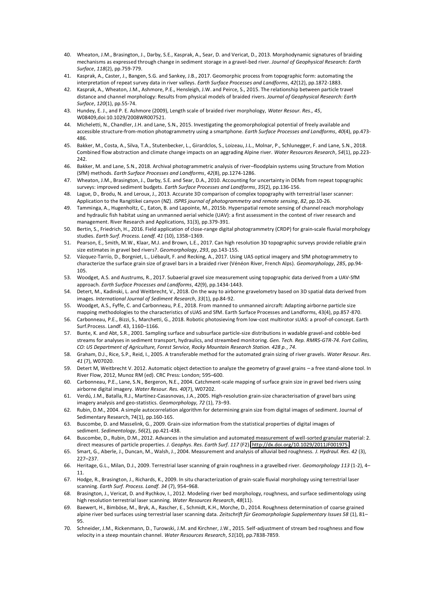- 40. Wheaton, J.M., Brasington, J., Darby, S.E., Kasprak, A., Sear, D. and Vericat, D., 2013. Morphodynamic signatures of braiding mechanisms as expressed through change in sediment storage in a gravel-bed river. *Journal of Geophysical Research: Earth Surface*, *118*(2), pp.759-779.
- 41. Kasprak, A., Caster, J., Bangen, S.G. and Sankey, J.B., 2017. Geomorphic process from topographic form: automating the interpretation of repeat survey data in river valleys. *Earth Surface Processes and Landforms*, *42*(12), pp.1872-1883.
- 42. Kasprak, A., Wheaton, J.M., Ashmore, P.E., Hensleigh, J.W. and Peirce, S., 2015. The relationship between particle travel distance and channel morphology: Results from physical models of braided rivers. *Journal of Geophysical Research: Earth Surface*, *120*(1), pp.55-74.
- 43. Hundey, E. J., and P. E. Ashmore (2009), Length scale of braided river morphology, *Water Resour. Res., 45*, W08409,doi:10.1029/2008WR007521.
- 44. Micheletti, N., Chandler, J.H. and Lane, S.N., 2015. Investigating the geomorphological potential of freely available and accessible structure-from-motion photogrammetry using a smartphone. Earth Surface Processes and Landforms, 40(4), pp.473-486.
- 45. Bakker, M., Costa, A., Silva, T.A., Stutenbecker, L., Girardclos, S., Loizeau, J.L., Molnar, P., Schlunegger, F. and Lane, S.N., 2018. Combined flow abstraction and climate change impacts on an aggrading Alpine river. *Water Resources Research*, *54*(1), pp.223- 242.
- 46. Bakker, M. and Lane, S.N., 2018. Archival photogrammetric analysis of river-floodplain systems using Structure from Motion (SfM) methods. *Earth Surface Processes and Landforms*, *42*(8), pp.1274-1286.
- 47. Wheaton, J.M., Brasington, J., Darby, S.E. and Sear, D.A., 2010. Accounting for uncertainty in DEMs from repeat topographic surveys: improved sediment budgets. *Earth Surface Processes and Landforms*, *35*(2), pp.136-156.
- 48. Lague, D., Brodu, N. and Leroux, J., 2013. Accurate 3D comparison of complex topography with terrestrial laser scanner: Application to the Rangitikei canyon (NZ). *ISPRS journal of photogrammetry and remote sensing*, *82*, pp.10-26.
- 49. Tamminga, A., Hugenholtz, C., Eaton, B. and Lapointe, M., 2015b. Hyperspatial remote sensing of channel reach morphology and hydraulic fish habitat using an unmanned aerial vehicle (UAV): a first assessment in the context of river research and management. River Research and Applications, 31(3), pp.379-391.
- 50. Bertin, S., Friedrich, H., 2016. Field application of close-range digital photogrammetry (CRDP) for grain-scale fluvial morphology studies. *Earth Surf. Process. Landf. 41* (10), 1358-1369.
- 51. Pearson, E., Smith, M.W., Klaar, M.J. and Brown, L.E., 2017. Can high resolution 3D topographic surveys provide reliable grain size estimates in gravel bed rivers?. *Geomorphology*, *293*, pp.143-155.
- 52. Vázquez-Tarrío, D., Borgniet, L., Liébault, F. and Recking, A., 2017. Using UAS optical imagery and SfM photogrammetry to characterize the surface grain size of gravel bars in a braided river (Vénéon River, French Alps). *Geomorphology*, 285, pp.94-105.
- 53. Woodget, A.S. and Austrums, R., 2017. Subaerial gravel size measurement using topographic data derived from a UAV-SfM approach. *Earth Surface Processes and Landforms*, *42*(9), pp.1434-1443.
- 54. Detert, M., Kadinski, L. and Weitbrecht, V., 2018. On the way to airborne gravelometry based on 3D spatial data derived from images. *International Journal of Sediment Research*, *33*(1), pp.84-92.
- 55. Woodget, A.S., Fyffe, C. and Carbonneau, P.E., 2018. From manned to unmanned aircraft: Adapting airborne particle size mapping methodologies to the characteristics of sUAS and SfM. Earth Surface Processes and Landforms, 43(4), pp.857-870.
- 56. Carbonneau, P.E., Bizzi, S., Marchetti, G., 2018. Robotic photosieving from low-cost multirotor sUAS: a proof-of-concept. Earth Surf.Process. Landf. 43, 1160-1166.
- 57. Bunte, K. and Abt, S.R., 2001. Sampling surface and subsurface particle-size distributions in wadable gravel-and cobble-bed streams for analyses in sediment transport, hydraulics, and streambed monitoring. *Gen. Tech. Rep. RMRS-GTR-74. Fort Collins, CO: US Department of Agriculture, Forest Service, Rocky Mountain Research Station. 428 p.*, *74*.
- 58. Graham, D.J., Rice, S.P., Reid, I., 2005. A transferable method for the automated grain sizing of river gravels. *Water Resour. Res. 41* (7), W07020.
- 59. Detert M, Weitbrecht V. 2012. Automatic object detection to analyze the geometry of gravel grains a free stand-alone tool. In River Flow, 2012, Munoz RM (ed). CRC Press: London: 595-600.
- 60. Carbonneau, P.E., Lane, S.N., Bergeron, N.E., 2004. Catchment-scale mapping of surface grain size in gravel bed rivers using airborne digital imagery. *Water Resour. Res. 40*(7), W07202.
- 61. Verdú, J.M., Batalla, R.J., Martínez-Casasnovas, J.A., 2005. High-resolution grain-size characterisation of gravel bars using imagery analysis and geo-statistics. Geomorphology, 72 (1), 73-93.
- 62. Rubin, D.M., 2004. A simple autocorrelation algorithm for determining grain size from digital images of sediment. Journal of Sedimentary Research, 74(1), pp.160-165.
- 63. Buscombe, D. and Masselink, G., 2009. Grain-size information from the statistical properties of digital images of sediment. *Sedimentology*, *56*(2), pp.421-438.
- 64. Buscombe, D., Rubin, D.M., 2012. Advances in the simulation and automated measurement of well-sorted granular material: 2. direct measures of particle properties. *J. Geophys. Res. Earth Surf. 117* (F2)[. http://dx.doi.org/10.1029/2011JF001975.](http://dx.doi.org/10.1029/2011JF001975)
- 65. Smart, G., Aberle, J., Duncan, M., Walsh, J., 2004. Measurement and analysis of alluvial bed roughness. *J. Hydraul. Res. 42* (3), 227-237
- 66. Heritage, G.L., Milan, D.J., 2009. Terrestrial laser scanning of grain roughness in a gravelbed river. *Geomorphology 113* (1-2), 4に 11.
- 67. Hodge, R., Brasington, J., Richards, K., 2009. In situ characterization of grain-scale fluvial morphology using terrestrial laser scanning. *Earth Surf. Process. Landf.* 34 (7), 954-968.
- 68. Brasington, J., Vericat, D. and Rychkov, I., 2012. Modeling river bed morphology, roughness, and surface sedimentology using high resolution terrestrial laser scanning. *Water Resources Research*, *48*(11).
- 69. Baewert, H., Bimböse, M., Bryk, A., Rascher, E., Schmidt, K.H., Morche, D., 2014. Roughness determination of coarse grained alpine river bed surfaces using terrestrial laser scanning data. Zeitschrift für Geomorphologie Supplementary Issues 58 (1), 81-95.
- 70. Schneider, J.M., Rickenmann, D., Turowski, J.M. and Kirchner, J.W., 2015. Self-adjustment of stream bed roughness and flow velocity in a steep mountain channel. *Water Resources Research*, *51*(10), pp.7838-7859.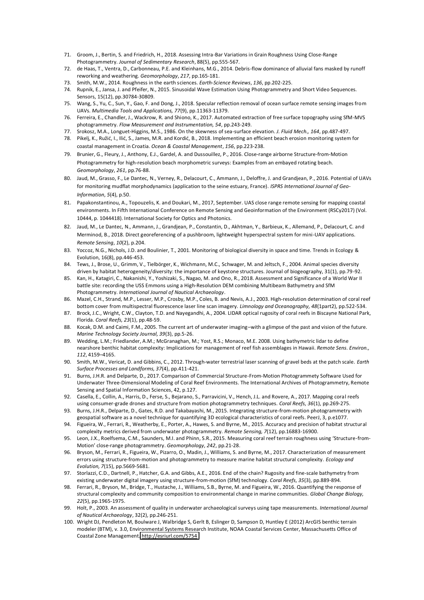- 71. Groom, J., Bertin, S. and Friedrich, H., 2018. Assessing Intra-Bar Variations in Grain Roughness Using Close-Range Photogrammetry. *Journal of Sedimentary Research*, 88(5), pp.555-567.
- 72. de Haas, T., Ventra, D., Carbonneau, P.E. and Kleinhans, M.G., 2014. Debris-flow dominance of alluvial fans masked by runoff reworking and weathering. *Geomorphology*, *217*, pp.165-181.
- 73. Smith, M.W., 2014. Roughness in the earth sciences. *Earth-Science Reviews*, *136*, pp.202-225.
- 74. Rupnik, E., Jansa, J. and Pfeifer, N., 2015. Sinusoidal Wave Estimation Using Photogrammetry and Short Video Sequences. Sensors, 15(12), pp.30784-30809.
- 75. Wang, S., Yu, C., Sun, Y., Gao, F. and Dong, J., 2018. Specular reflection removal of ocean surface remote sensing images from UAVs. *Multimedia Tools and Applications, 77*(9), pp.11363-11379.
- 76. Ferreira, E., Chandler, J., Wackrow, R. and Shiono, K., 2017. Automated extraction of free surface topography using SfM-MVS photogrammetry. *Flow Measurement and Instrumentation, 54*, pp.243-249.
- 77. Srokosz, M.A., Longuet-Higgins, M.S., 1986. On the skewness of sea-surface elevation. *J. Fluid Mech., 164*, pp.487-497.
- 78. Pikelj, K., Ružić, I., Ilić, S., James, M.R. and Kordić, B., 2018. Implementing an efficient beach erosion monitoring system for coastal management in Croatia. *Ocean & Coastal Management*, *156*, pp.223-238.
- 79. Brunier, G., Fleury, J., Anthony, E.J., Gardel, A. and Dussouillez, P., 2016. Close-range airborne Structure-from-Motion Photogrammetry for high-resolution beach morphometric surveys: Examples from an embayed rotating beach. *Geomorphology*, *261*, pp.76-88.
- 80. Jaud, M., Grasso, F., Le Dantec, N., Verney, R., Delacourt, C., Ammann, J., Deloffre, J. and Grandjean, P., 2016. Potential of UAVs for monitoring mudflat morphodynamics (application to the seine estuary, France). *ISPRS International Journal of Geo-Information*, *5*(4), p.50.
- 81. Papakonstantinou, A., Topouzelis, K. and Doukari, M., 2017, September. UAS close range remote sensing for mapping coastal environments. In Fifth International Conference on Remote Sensing and Geoinformation of the Environment (RSCy2017) (Vol. 10444, p. 1044418). International Society for Optics and Photonics.
- 82. Jaud, M., Le Dantec, N., Ammann, J., Grandjean, P., Constantin, D., Akhtman, Y., Barbieux, K., Allemand, P., Delacourt, C. and Merminod, B., 2018. Direct georeferencing of a pushbroom, lightweight hyperspectral system for mini-UAV applications. *Remote Sensing*, *10*(2), p.204.
- 83. Yoccoz, N.G., Nichols, J.D. and Boulinier, T., 2001. Monitoring of biological diversity in space and time. Trends in Ecology & Evolution, 16(8), pp.446-453.
- 84. Tews, J., Brose, U., Grimm, V., Tielbörger, K., Wichmann, M.C., Schwager, M. and Jeltsch, F., 2004. Animal species diversity driven by habitat heterogeneity/diversity: the importance of keystone structures. Journal of biogeography, 31(1), pp.79-92.
- 85. Kan, H., Katagiri, C., Nakanishi, Y., Yoshizaki, S., Nagao, M. and Ono, R., 2018. Assessment and Significance of a World War II battle site: recording the USS Emmons using a High-Resolution DEM combining Multibeam Bathymetry and SfM Photogrammetry. *International Journal of Nautical Archaeology*.
- 86. Mazel, C.H., Strand, M.P., Lesser, M.P., Crosby, M.P., Coles, B. and Nevis, A.J., 2003. High-resolution determination of coral reef bottom cover from multispectral fluorescence laser line scan imagery. *Limnology and Oceanography, 48*(1part2), pp.522-534.
- 87. Brock, J.C., Wright, C.W., Clayton, T.D. and Nayegandhi, A., 2004. LIDAR optical rugosity of coral reefs in Biscayne National Park, Florida. *Coral Reefs, 23*(1), pp.48-59.
- 88. Kocak, D.M. and Caimi, F.M., 2005. The current art of underwater imaging-with a glimpse of the past and vision of the future. *Marine Technology Society Journal, 39*(3), pp.5-26.
- 89. Wedding, L.M.; Friedlander, A.M.; McGranaghan, M.; Yost, R.S.; Monaco, M.E. 2008. Using bathymetric lidar to define nearshore benthic habitat complexity: Implications for management of reef fish assemblages in Hawaii. *Remote Sens. Environ., 112*, 4159に4165.
- 90. Smith, M.W., Vericat, D. and Gibbins, C., 2012. Through-water terrestrial laser scanning of gravel beds at the patch scale. Earth *Surface Processes and Landforms, 37*(4), pp.411-421.
- 91. Burns, J.H.R. and Delparte, D., 2017. Comparison of Commercial Structure-From-Motion Photogrammety Software Used for Underwater Three-Dimensional Modeling of Coral Reef Environments. The International Archives of Photogrammetry, Remote Sensing and Spatial Information Sciences, 42, p.127.
- 92. Casella, E., Collin, A., Harris, D., Ferse, S., Bejarano, S., Parravicini, V., Hench, J.L. and Rovere, A., 2017. Mapping coral reefs using consumer-grade drones and structure from motion photogrammetry techniques. *Coral Reefs, 36*(1), pp.269-275.
- 93. Burns, J.H.R., Delparte, D., Gates, R.D. and Takabayashi, M., 2015. Integrating structure-from-motion photogrammetry with geospatial software as a novel technique for quantifying 3D ecological characteristics of coral reefs. PeerJ, 3, p.e1077.
- 94. Figueira, W., Ferrari, R., Weatherby, E., Porter, A., Hawes, S. and Byrne, M., 2015. Accuracy and precision of habitat structural complexity metrics derived from underwater photogrammetry. *Remote Sensing, 7*(12), pp.16883-16900.
- 95. Leon, J.X., Roelfsema, C.M., Saunders, M.I. and Phinn, S.R., 2015. Measuring coral reef terrain roughness using 'Structure-from-Motion' close-range photogrammetry. Geomorphology, 242, pp.21-28.
- 96. Bryson, M., Ferrari, R., Figueira, W., Pizarro, O., Madin, J., Williams, S. and Byrne, M., 2017. Characterization of measurement errors using structure-from-motion and photogrammetry to measure marine habitat structural complexity. Ecology and *Evolution, 7*(15), pp.5669-5681.
- 97. Storlazzi, C.D., Dartnell, P., Hatcher, G.A. and Gibbs, A.E., 2016. End of the chain? Rugosity and fine-scale bathymetry from existing underwater digital imagery using structure-from-motion (SfM) technology. *Coral Reefs, 35*(3), pp.889-894.
- 98. Ferrari, R., Bryson, M., Bridge, T., Hustache, J., Williams, S.B., Byrne, M. and Figueira, W., 2016. Quantifying the response of structural complexity and community composition to environmental change in marine communities. *Global Change Biology, 22*(5), pp.1965-1975.
- 99. Holt, P., 2003. An assessment of quality in underwater archaeological surveys using tape measurements. *International Journal of Nautical Archaeology*, 32(2), pp.246-251.
- 100. Wright DJ, Pendleton M, Boulware J, Walbridge S, Gerlt B, Eslinger D, Sampson D, Huntley E (2012) ArcGIS benthic terrain modeler (BTM), v. 3.0, Environmental Systems Research Institute, NOAA Coastal Services Center, Massachusetts Office of Coastal Zone Management[. http://esriurl.com/5754](http://esriurl.com/5754)